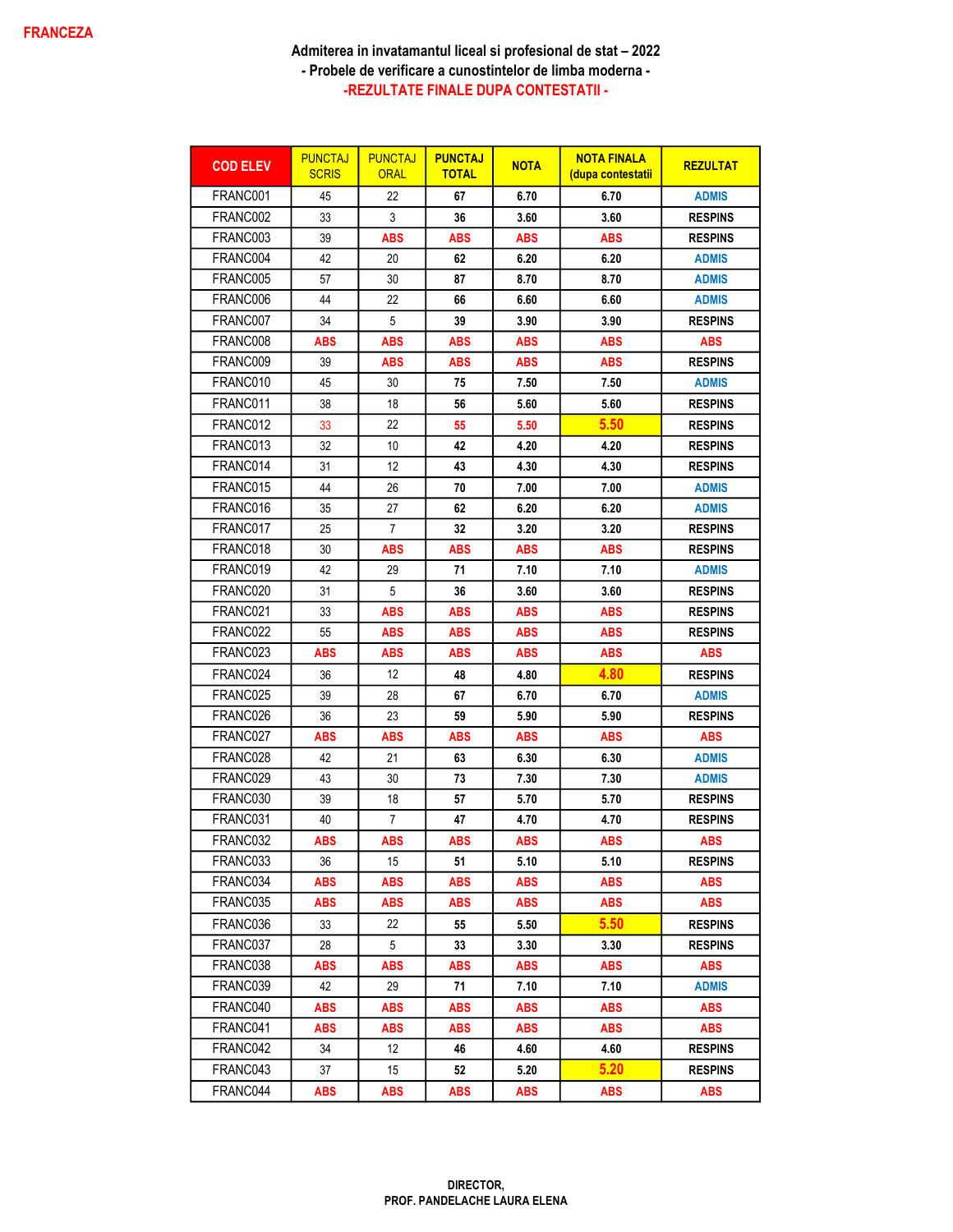| <b>COD ELEV</b> | <b>PUNCTAJ</b><br><b>SCRIS</b> | <b>PUNCTAJ</b><br><b>ORAL</b> | <b>PUNCTAJ</b><br><b>TOTAL</b> | <b>NOTA</b> | <b>NOTA FINALA</b><br><u>(dupa contestatii</u> | <b>REZULTAT</b> |
|-----------------|--------------------------------|-------------------------------|--------------------------------|-------------|------------------------------------------------|-----------------|
| FRANC001        | 45                             | 22                            | 67                             | 6.70        | 6.70                                           | <b>ADMIS</b>    |
| FRANC002        | 33                             | 3                             | 36                             | 3.60        | 3.60                                           | <b>RESPINS</b>  |
| FRANC003        | 39                             | <b>ABS</b>                    | ABS                            | ABS         | ABS                                            | <b>RESPINS</b>  |
| FRANC004        | 42                             | 20                            | 62                             | 6.20        | 6.20                                           | <b>ADMIS</b>    |
| FRANC005        | 57                             | 30                            | 87                             | 8.70        | 8.70                                           | <b>ADMIS</b>    |
| FRANC006        | 44                             | 22                            | 66                             | 6.60        | 6.60                                           | <b>ADMIS</b>    |
| FRANC007        | 34                             | 5                             | 39                             | 3.90        | 3.90                                           | <b>RESPINS</b>  |
| FRANC008        | ABS                            | ABS                           | <b>ABS</b>                     | ABS         | ABS                                            | <b>ABS</b>      |
| FRANC009        | 39                             | ABS                           | ABS                            | ABS         | <b>ABS</b>                                     | <b>RESPINS</b>  |
| FRANC010        | 45                             | 30                            | 75                             | 7.50        | 7.50                                           | <b>ADMIS</b>    |
| FRANC011        | 38                             | 18                            | 56                             | 5.60        | 5.60                                           | <b>RESPINS</b>  |
| FRANC012        | 33                             | 22                            | 55                             | 5.50        | 5.50                                           | <b>RESPINS</b>  |
| FRANC013        | 32                             | 10                            | 42                             | 4.20        | 4.20                                           | <b>RESPINS</b>  |
| FRANC014        | 31                             | 12                            | 43                             | 4.30        | 4.30                                           | <b>RESPINS</b>  |
| FRANC015        | 44                             | 26                            | 70                             | 7.00        | 7.00                                           | <b>ADMIS</b>    |
| FRANC016        | 35                             | 27                            | 62                             | 6.20        | 6.20                                           | <b>ADMIS</b>    |
| FRANC017        | 25                             | 7                             | 32                             | 3.20        | 3.20                                           | <b>RESPINS</b>  |
| FRANC018        | 30                             | <b>ABS</b>                    | <b>ABS</b>                     | ABS         | <b>ABS</b>                                     | <b>RESPINS</b>  |
| FRANC019        | 42                             | 29                            | 71                             | 7.10        | 7.10                                           | <b>ADMIS</b>    |
| FRANC020        | 31                             | 5                             | 36                             | 3.60        | 3.60                                           | <b>RESPINS</b>  |
| FRANC021        | 33                             | ABS                           | ABS                            | ABS         | <b>ABS</b>                                     | <b>RESPINS</b>  |
| FRANC022        | 55                             | <b>ABS</b>                    | ABS                            | ABS         | <b>ABS</b>                                     | <b>RESPINS</b>  |
| FRANC023        | ABS                            | ABS                           | ABS                            | ABS         | ABS                                            | <b>ABS</b>      |
| FRANC024        | 36                             | 12 <sup>°</sup>               | 48                             | 4.80        | 4.80                                           | <b>RESPINS</b>  |
| FRANC025        | 39                             | 28                            | 67                             | 6.70        | 6.70                                           | <b>ADMIS</b>    |
| FRANC026        | 36                             | 23                            | 59                             | 5.90        | 5.90                                           | <b>RESPINS</b>  |
| FRANC027        | ABS                            | ABS                           | ABS                            | ABS         | ABS                                            | ABS             |
| FRANC028        | 42                             | 21                            | 63                             | 6.30        | 6.30                                           | <b>ADMIS</b>    |
| FRANC029        | 43                             | 30                            | 73                             | 7.30        | 7.30                                           | <b>ADMIS</b>    |
| FRANC030        | 39                             | 18                            | 57                             | 5.70        | 5.70                                           | <b>RESPINS</b>  |
| FRANC031        | 40                             | 7                             | 47                             | 4.70        | 4.70                                           | <b>RESPINS</b>  |
| FRANC032        | ABS                            | ABS                           | ABS                            | ABS         | ABS                                            | <b>ABS</b>      |
| FRANC033        | 36                             | 15                            | 51                             | 5.10        | 5.10                                           | <b>RESPINS</b>  |
| FRANC034        | <b>ABS</b>                     | <b>ABS</b>                    | <b>ABS</b>                     | ABS         | <b>ABS</b>                                     | <b>ABS</b>      |
| FRANC035        | ABS                            | ABS                           | ABS                            | ABS         | ABS                                            | <b>ABS</b>      |
| FRANC036        | 33                             | 22                            | 55                             | 5.50        | 5.50                                           | <b>RESPINS</b>  |
| FRANC037        | 28                             | 5                             | 33                             | 3.30        | 3.30                                           | <b>RESPINS</b>  |
| FRANC038        | ABS                            | ABS                           | ABS                            | ABS         | ABS                                            | ABS             |
| FRANC039        | 42                             | 29                            | 71                             | 7.10        | 7.10                                           | <b>ADMIS</b>    |
| FRANC040        | <b>ABS</b>                     | <b>ABS</b>                    | ABS                            | ABS         | <b>ABS</b>                                     | <b>ABS</b>      |
| FRANC041        | <b>ABS</b>                     | <b>ABS</b>                    | ABS                            | <b>ABS</b>  | <b>ABS</b>                                     | <b>ABS</b>      |
| FRANC042        | 34                             | 12                            | 46                             | 4.60        | 4.60                                           | <b>RESPINS</b>  |
| FRANC043        | 37                             | 15                            | 52                             | 5.20        | 5.20                                           | <b>RESPINS</b>  |
| FRANC044        | ABS                            | ABS                           | ABS                            | ABS         | ABS                                            | <b>ABS</b>      |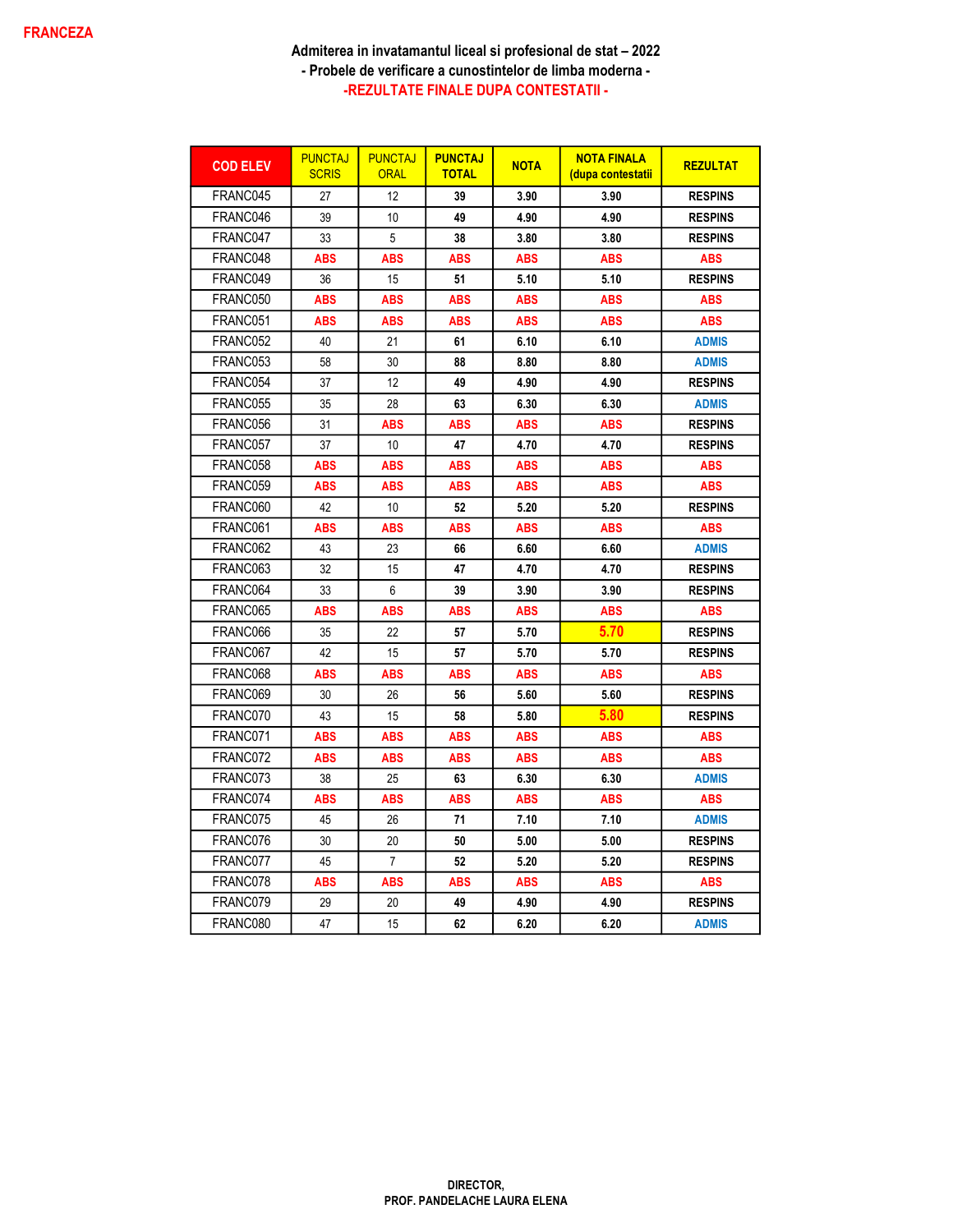| <b>COD ELEV</b> | <b>PUNCTAJ</b><br><b>SCRIS</b> | <b>PUNCTAJ</b><br><b>ORAL</b> | <b>PUNCTAJ</b><br><b>TOTAL</b> | <b>NOTA</b> | <b>NOTA FINALA</b><br><u>(dupa contestatii</u> | <b>REZULTAT</b> |
|-----------------|--------------------------------|-------------------------------|--------------------------------|-------------|------------------------------------------------|-----------------|
| FRANC045        | 27                             | 12                            | 39                             | 3.90        | 3.90                                           | <b>RESPINS</b>  |
| FRANC046        | 39                             | 10                            | 49                             | 4.90        | 4.90                                           | <b>RESPINS</b>  |
| FRANC047        | 33                             | 5                             | 38                             | 3.80        | 3.80                                           | <b>RESPINS</b>  |
| FRANC048        | <b>ABS</b>                     | <b>ABS</b>                    | ABS                            | <b>ABS</b>  | <b>ABS</b>                                     | <b>ABS</b>      |
| FRANC049        | 36                             | 15                            | 51                             | 5.10        | 5.10                                           | <b>RESPINS</b>  |
| FRANC050        | <b>ABS</b>                     | <b>ABS</b>                    | <b>ABS</b>                     | <b>ABS</b>  | <b>ABS</b>                                     | <b>ABS</b>      |
| FRANC051        | <b>ABS</b>                     | <b>ABS</b>                    | <b>ABS</b>                     | <b>ABS</b>  | <b>ABS</b>                                     | <b>ABS</b>      |
| FRANC052        | 40                             | 21                            | 61                             | 6.10        | 6.10                                           | <b>ADMIS</b>    |
| FRANC053        | 58                             | 30                            | 88                             | 8.80        | 8.80                                           | <b>ADMIS</b>    |
| FRANC054        | 37                             | 12                            | 49                             | 4.90        | 4.90                                           | <b>RESPINS</b>  |
| FRANC055        | 35                             | 28                            | 63                             | 6.30        | 6.30                                           | <b>ADMIS</b>    |
| FRANC056        | 31                             | <b>ABS</b>                    | <b>ABS</b>                     | <b>ABS</b>  | <b>ABS</b>                                     | <b>RESPINS</b>  |
| FRANC057        | 37                             | 10                            | 47                             | 4.70        | 4.70                                           | <b>RESPINS</b>  |
| FRANC058        | <b>ABS</b>                     | <b>ABS</b>                    | <b>ABS</b>                     | <b>ABS</b>  | <b>ABS</b>                                     | <b>ABS</b>      |
| FRANC059        | <b>ABS</b>                     | ABS                           | <b>ABS</b>                     | <b>ABS</b>  | <b>ABS</b>                                     | <b>ABS</b>      |
| FRANC060        | 42                             | 10                            | 52                             | 5.20        | 5.20                                           | <b>RESPINS</b>  |
| FRANC061        | <b>ABS</b>                     | ABS                           | ABS                            | <b>ABS</b>  | <b>ABS</b>                                     | <b>ABS</b>      |
| FRANC062        | 43                             | 23                            | 66                             | 6.60        | 6.60                                           | <b>ADMIS</b>    |
| FRANC063        | 32                             | 15                            | 47                             | 4.70        | 4.70                                           | <b>RESPINS</b>  |
| FRANC064        | 33                             | 6                             | 39                             | 3.90        | 3.90                                           | <b>RESPINS</b>  |
| FRANC065        | <b>ABS</b>                     | <b>ABS</b>                    | ABS                            | <b>ABS</b>  | <b>ABS</b>                                     | <b>ABS</b>      |
| FRANC066        | 35                             | 22                            | 57                             | 5.70        | 5.70                                           | <b>RESPINS</b>  |
| FRANC067        | 42                             | 15                            | 57                             | 5.70        | 5.70                                           | <b>RESPINS</b>  |
| FRANC068        | <b>ABS</b>                     | ABS                           | ABS                            | <b>ABS</b>  | <b>ABS</b>                                     | <b>ABS</b>      |
| FRANC069        | 30                             | 26                            | 56                             | 5.60        | 5.60                                           | <b>RESPINS</b>  |
| FRANC070        | 43                             | 15                            | 58                             | 5.80        | 5.80                                           | <b>RESPINS</b>  |
| FRANC071        | <b>ABS</b>                     | <b>ABS</b>                    | ABS                            | <b>ABS</b>  | <b>ABS</b>                                     | <b>ABS</b>      |
| FRANC072        | <b>ABS</b>                     | ABS                           | ABS                            | <b>ABS</b>  | <b>ABS</b>                                     | <b>ABS</b>      |
| FRANC073        | 38                             | 25                            | 63                             | 6.30        | 6.30                                           | <b>ADMIS</b>    |
| FRANC074        | <b>ABS</b>                     | ABS                           | ABS                            | ABS         | ABS                                            | <b>ABS</b>      |
| FRANC075        | 45                             | 26                            | 71                             | 7.10        | 7.10                                           | <b>ADMIS</b>    |
| FRANC076        | 30                             | 20                            | 50                             | 5.00        | 5.00                                           | <b>RESPINS</b>  |
| FRANC077        | 45                             | 7                             | 52                             | 5.20        | 5.20                                           | <b>RESPINS</b>  |
| FRANC078        | <b>ABS</b>                     | <b>ABS</b>                    | <b>ABS</b>                     | <b>ABS</b>  | <b>ABS</b>                                     | <b>ABS</b>      |
| FRANC079        | 29                             | 20                            | 49                             | 4.90        | 4.90                                           | <b>RESPINS</b>  |
| FRANC080        | 47                             | 15                            | 62                             | 6.20        | 6.20                                           | <b>ADMIS</b>    |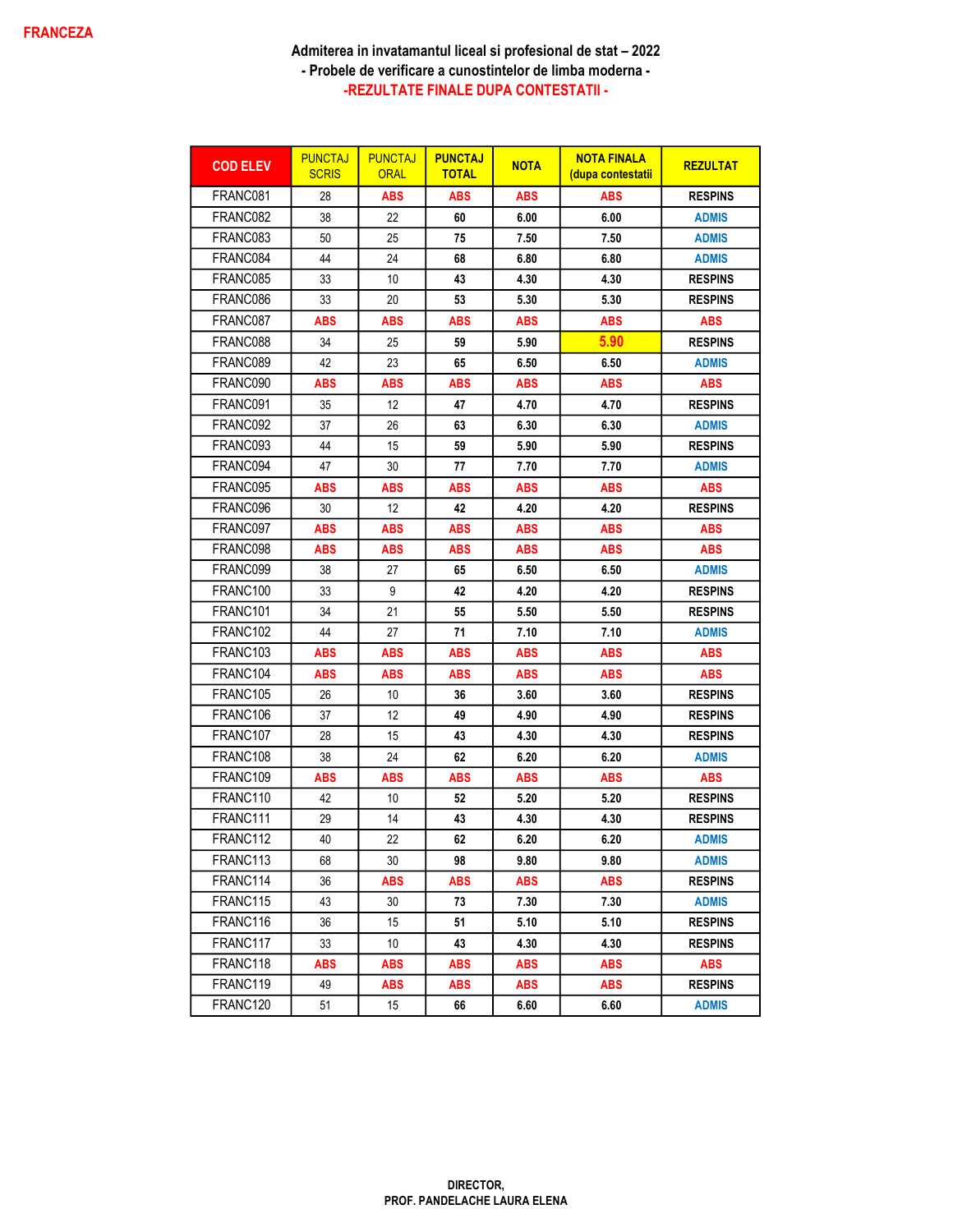| <b>COD ELEV</b>      | <b>PUNCTAJ</b><br><b>SCRIS</b> | <b>PUNCTAJ</b><br><b>ORAL</b> | <b>PUNCTAJ</b><br><b>TOTAL</b> | <b>NOTA</b> | <b>NOTA FINALA</b><br><u>(dupa contestatii</u> | <b>REZULTAT</b> |
|----------------------|--------------------------------|-------------------------------|--------------------------------|-------------|------------------------------------------------|-----------------|
| FRANC081             | 28                             | <b>ABS</b>                    | <b>ABS</b>                     | <b>ABS</b>  | <b>ABS</b>                                     | <b>RESPINS</b>  |
| FRANC082             | 38                             | 22                            | 60                             | 6.00        | 6.00                                           | <b>ADMIS</b>    |
| FRANC083             | 50                             | 25                            | 75                             | 7.50        | 7.50                                           | <b>ADMIS</b>    |
| FRANC084             | 44                             | 24                            | 68                             | 6.80        | 6.80                                           | <b>ADMIS</b>    |
| FRANC085             | 33                             | 10                            | 43                             | 4.30        | 4.30                                           | <b>RESPINS</b>  |
| FRANC086             | 33                             | 20                            | 53                             | 5.30        | 5.30                                           | <b>RESPINS</b>  |
| FRANC087             | ABS                            | <b>ABS</b>                    | <b>ABS</b>                     | ABS         | ABS                                            | <b>ABS</b>      |
| FRANC088             | 34                             | 25                            | 59                             | 5.90        | 5.90                                           | <b>RESPINS</b>  |
| FRANC089             | 42                             | 23                            | 65                             | 6.50        | 6.50                                           | <b>ADMIS</b>    |
| FRANC090             | ABS                            | ABS                           | <b>ABS</b>                     | <b>ABS</b>  | ABS                                            | <b>ABS</b>      |
| FRANC091             | 35                             | 12 <sup>°</sup>               | 47                             | 4.70        | 4.70                                           | <b>RESPINS</b>  |
| FRANC092             | 37                             | 26                            | 63                             | 6.30        | 6.30                                           | <b>ADMIS</b>    |
| FRANC093             | 44                             | 15                            | 59                             | 5.90        | 5.90                                           | <b>RESPINS</b>  |
| FRANC094             | 47                             | 30                            | 77                             | 7.70        | 7.70                                           | <b>ADMIS</b>    |
| FRANC095             | <b>ABS</b>                     | ABS                           | <b>ABS</b>                     | <b>ABS</b>  | ABS                                            | <b>ABS</b>      |
| FRANC096             | 30                             | $12 \overline{ }$             | 42                             | 4.20        | 4.20                                           | <b>RESPINS</b>  |
| FRANC097             | ABS                            | ABS                           | <b>ABS</b>                     | <b>ABS</b>  | ABS                                            | <b>ABS</b>      |
| FRANC098             | ABS                            | ABS                           | ABS                            | ABS         | <b>ABS</b>                                     | ABS             |
| FRANC099             | 38                             | 27                            | 65                             | 6.50        | 6.50                                           | <b>ADMIS</b>    |
| FRANC100             | 33                             | 9                             | 42                             | 4.20        | 4.20                                           | <b>RESPINS</b>  |
| FRANC <sub>101</sub> | 34                             | 21                            | 55                             | 5.50        | 5.50                                           | <b>RESPINS</b>  |
| FRANC <sub>102</sub> | 44                             | 27                            | 71                             | 7.10        | 7.10                                           | <b>ADMIS</b>    |
| FRANC <sub>103</sub> | ABS                            | ABS                           | ABS                            | <b>ABS</b>  | ABS                                            | <b>ABS</b>      |
| FRANC104             | ABS                            | ABS                           | <b>ABS</b>                     | ABS         | ABS                                            | ABS             |
| FRANC105             | 26                             | 10                            | 36                             | 3.60        | 3.60                                           | <b>RESPINS</b>  |
| FRANC106             | 37                             | 12                            | 49                             | 4.90        | 4.90                                           | <b>RESPINS</b>  |
| FRANC107             | 28                             | 15                            | 43                             | 4.30        | 4.30                                           | <b>RESPINS</b>  |
| FRANC108             | 38                             | 24                            | 62                             | 6.20        | 6.20                                           | <b>ADMIS</b>    |
| FRANC <sub>109</sub> | ABS                            | ABS                           | <b>ABS</b>                     | <b>ABS</b>  | ABS                                            | <b>ABS</b>      |
| FRANC110             | 42                             | 10                            | 52                             | 5.20        | 5.20                                           | <b>RESPINS</b>  |
| FRANC <sub>111</sub> | 29                             | 14                            | 43                             | 4.30        | 4.30                                           | <b>RESPINS</b>  |
| FRANC112             | 40                             | 22                            | 62                             | 6.20        | 6.20                                           | <b>ADMIS</b>    |
| FRANC113             | 68                             | 30                            | 98                             | 9.80        | 9.80                                           | <b>ADMIS</b>    |
| FRANC114             | 36                             | <b>ABS</b>                    | ABS                            | ABS         | <b>ABS</b>                                     | <b>RESPINS</b>  |
| FRANC115             | 43                             | 30                            | 73                             | 7.30        | 7.30                                           | <b>ADMIS</b>    |
| FRANC116             | 36                             | 15                            | 51                             | 5.10        | 5.10                                           | <b>RESPINS</b>  |
| FRANC117             | 33                             | 10                            | 43                             | 4.30        | 4.30                                           | <b>RESPINS</b>  |
| FRANC118             | ABS                            | <b>ABS</b>                    | <b>ABS</b>                     | ABS         | <b>ABS</b>                                     | <b>ABS</b>      |
| FRANC119             | 49                             | ABS                           | ABS                            | ABS         | ABS                                            | <b>RESPINS</b>  |
| FRANC120             | 51                             | 15                            | 66                             | 6.60        | 6.60                                           | <b>ADMIS</b>    |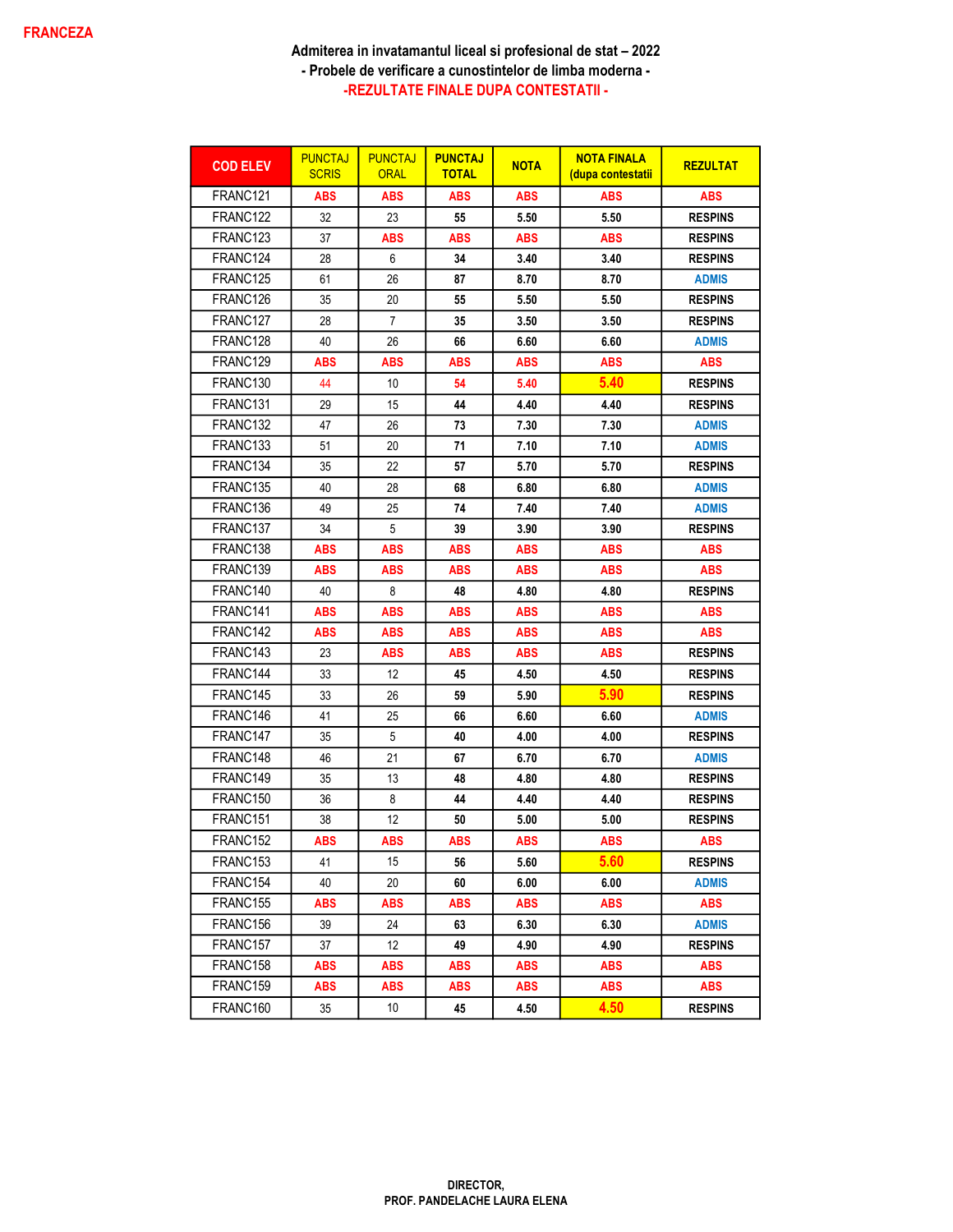| <b>COD ELEV</b>      | <b>PUNCTAJ</b><br><b>SCRIS</b> | <b>PUNCTAJ</b><br><b>ORAL</b> | <b>PUNCTAJ</b><br><b>TOTAL</b> | <b>NOTA</b> | <b>NOTA FINALA</b><br>(dupa contestatii | <b>REZULTAT</b> |
|----------------------|--------------------------------|-------------------------------|--------------------------------|-------------|-----------------------------------------|-----------------|
| FRANC121             | ABS                            | ABS                           | <b>ABS</b>                     | <b>ABS</b>  | <b>ABS</b>                              | <b>ABS</b>      |
| FRANC122             | 32                             | 23                            | 55                             | 5.50        | 5.50                                    | <b>RESPINS</b>  |
| FRANC123             | 37                             | ABS                           | ABS                            | ABS         | <b>ABS</b>                              | <b>RESPINS</b>  |
| FRANC124             | 28                             | 6                             | 34                             | 3.40        | 3.40                                    | <b>RESPINS</b>  |
| FRANC125             | 61                             | 26                            | 87                             | 8.70        | 8.70                                    | <b>ADMIS</b>    |
| FRANC126             | 35                             | 20                            | 55                             | 5.50        | 5.50                                    | <b>RESPINS</b>  |
| FRANC127             | 28                             | 7                             | 35                             | 3.50        | 3.50                                    | <b>RESPINS</b>  |
| FRANC128             | 40                             | 26                            | 66                             | 6.60        | 6.60                                    | <b>ADMIS</b>    |
| FRANC129             | ABS                            | ABS                           | ABS                            | ABS         | ABS                                     | <b>ABS</b>      |
| FRANC130             | 44                             | 10                            | 54                             | 5.40        | 5.40                                    | <b>RESPINS</b>  |
| FRANC131             | 29                             | 15                            | 44                             | 4.40        | 4.40                                    | <b>RESPINS</b>  |
| FRANC132             | 47                             | 26                            | 73                             | 7.30        | 7.30                                    | <b>ADMIS</b>    |
| FRANC <sub>133</sub> | 51                             | 20                            | 71                             | 7.10        | 7.10                                    | <b>ADMIS</b>    |
| FRANC134             | 35                             | 22                            | 57                             | 5.70        | 5.70                                    | <b>RESPINS</b>  |
| FRANC135             | 40                             | 28                            | 68                             | 6.80        | 6.80                                    | <b>ADMIS</b>    |
| FRANC136             | 49                             | 25                            | 74                             | 7.40        | 7.40                                    | <b>ADMIS</b>    |
| FRANC137             | 34                             | 5                             | 39                             | 3.90        | 3.90                                    | <b>RESPINS</b>  |
| FRANC <sub>138</sub> | <b>ABS</b>                     | ABS                           | ABS                            | <b>ABS</b>  | <b>ABS</b>                              | <b>ABS</b>      |
| FRANC139             | ABS                            | ABS                           | <b>ABS</b>                     | <b>ABS</b>  | <b>ABS</b>                              | <b>ABS</b>      |
| FRANC140             | 40                             | 8                             | 48                             | 4.80        | 4.80                                    | <b>RESPINS</b>  |
| FRANC141             | <b>ABS</b>                     | ABS                           | <b>ABS</b>                     | ABS         | <b>ABS</b>                              | <b>ABS</b>      |
| FRANC <sub>142</sub> | ABS                            | ABS                           | ABS                            | ABS         | ABS                                     | <b>ABS</b>      |
| FRANC143             | 23                             | ABS                           | ABS                            | ABS         | <b>ABS</b>                              | <b>RESPINS</b>  |
| FRANC144             | 33                             | 12 <sup>°</sup>               | 45                             | 4.50        | 4.50                                    | <b>RESPINS</b>  |
| FRANC145             | 33                             | 26                            | 59                             | 5.90        | 5.90                                    | <b>RESPINS</b>  |
| FRANC146             | 41                             | 25                            | 66                             | 6.60        | 6.60                                    | <b>ADMIS</b>    |
| FRANC147             | 35                             | 5                             | 40                             | 4.00        | 4.00                                    | <b>RESPINS</b>  |
| FRANC148             | 46                             | 21                            | 67                             | 6.70        | 6.70                                    | <b>ADMIS</b>    |
| FRANC149             | 35                             | 13                            | 48                             | 4.80        | 4.80                                    | <b>RESPINS</b>  |
| FRANC150             | 36                             | 8                             | 44                             | 4.40        | 4.40                                    | <b>RESPINS</b>  |
| FRANC <sub>151</sub> | 38                             | 12 <sup>°</sup>               | 50                             | 5.00        | 5.00                                    | <b>RESPINS</b>  |
| FRANC152             | ABS                            | ABS                           | <b>ABS</b>                     | <b>ABS</b>  | <b>ABS</b>                              | <b>ABS</b>      |
| FRANC153             | 41                             | 15                            | 56                             | 5.60        | 5.60                                    | <b>RESPINS</b>  |
| FRANC154             | 40                             | 20                            | 60                             | 6.00        | 6.00                                    | <b>ADMIS</b>    |
| FRANC155             | ABS                            | ABS                           | ABS                            | <b>ABS</b>  | <b>ABS</b>                              | <b>ABS</b>      |
| FRANC156             | 39                             | 24                            | 63                             | 6.30        | 6.30                                    | <b>ADMIS</b>    |
| FRANC157             | 37                             | 12                            | 49                             | 4.90        | 4.90                                    | <b>RESPINS</b>  |
| FRANC158             | ABS                            | ABS                           | <b>ABS</b>                     | ABS         | <b>ABS</b>                              | <b>ABS</b>      |
| FRANC159             | ABS                            | ABS                           | ABS                            | ABS         | <b>ABS</b>                              | <b>ABS</b>      |
| FRANC160             | 35                             | 10                            | 45                             | 4.50        | 4.50                                    | <b>RESPINS</b>  |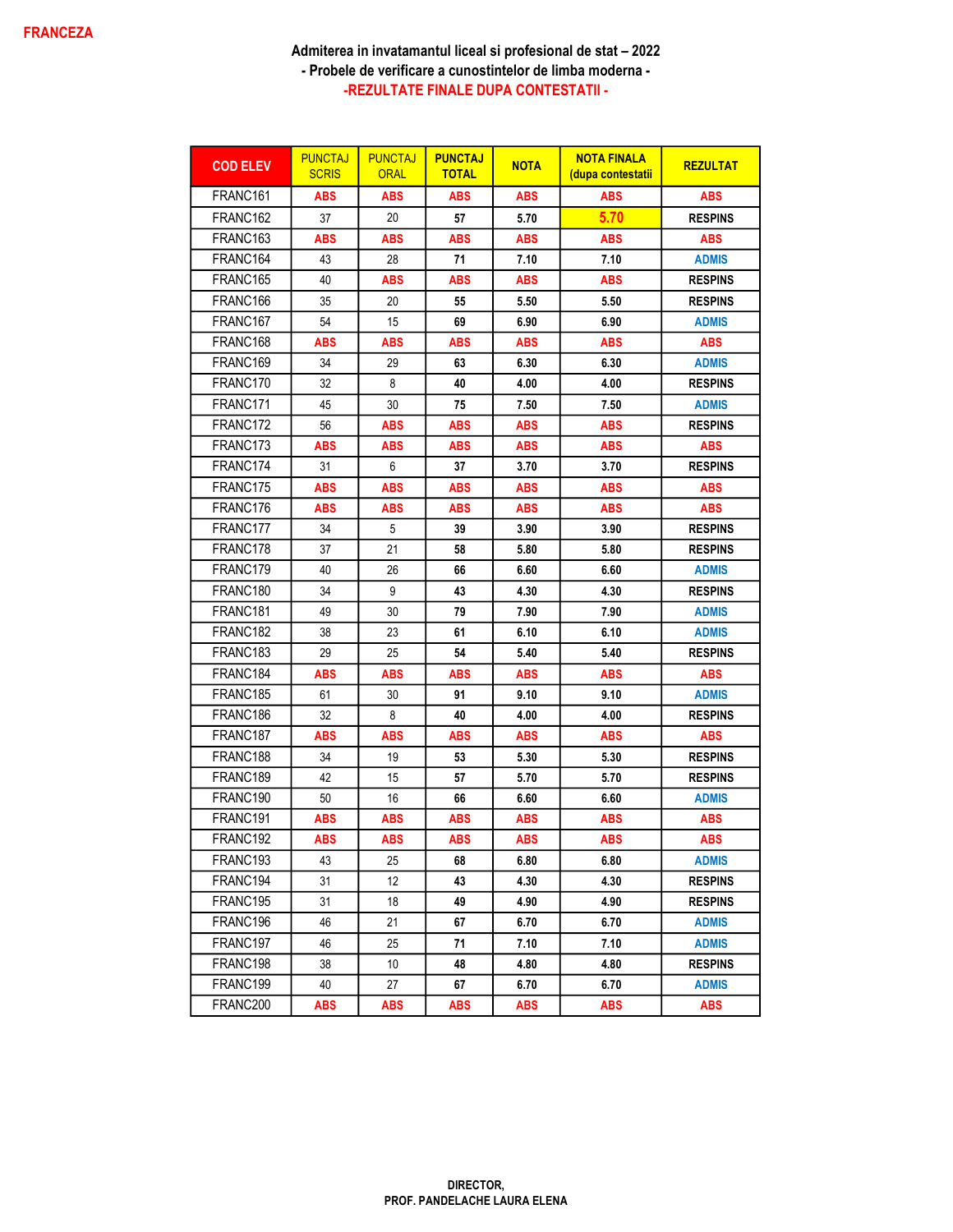| <b>COD ELEV</b>      | <b>PUNCTAJ</b><br><b>SCRIS</b> | <b>PUNCTAJ</b><br><b>ORAL</b> | <b>PUNCTAJ</b><br><b>TOTAL</b> | <b>NOTA</b> | <b>NOTA FINALA</b><br><u>(dupa contestatii</u> | <b>REZULTAT</b> |
|----------------------|--------------------------------|-------------------------------|--------------------------------|-------------|------------------------------------------------|-----------------|
| FRANC <sub>161</sub> | ABS                            | <b>ABS</b>                    | <b>ABS</b>                     | <b>ABS</b>  | <b>ABS</b>                                     | <b>ABS</b>      |
| FRANC <sub>162</sub> | 37                             | 20                            | 57                             | 5.70        | 5.70                                           | <b>RESPINS</b>  |
| FRANC <sub>163</sub> | <b>ABS</b>                     | <b>ABS</b>                    | <b>ABS</b>                     | <b>ABS</b>  | ABS                                            | <b>ABS</b>      |
| FRANC164             | 43                             | 28                            | 71                             | 7.10        | 7.10                                           | <b>ADMIS</b>    |
| FRANC165             | 40                             | <b>ABS</b>                    | <b>ABS</b>                     | <b>ABS</b>  | <b>ABS</b>                                     | <b>RESPINS</b>  |
| FRANC166             | 35                             | 20                            | 55                             | 5.50        | 5.50                                           | <b>RESPINS</b>  |
| FRANC167             | 54                             | 15                            | 69                             | 6.90        | 6.90                                           | <b>ADMIS</b>    |
| FRANC168             | ABS                            | ABS                           | ABS                            | ABS         | <b>ABS</b>                                     | <b>ABS</b>      |
| FRANC169             | 34                             | 29                            | 63                             | 6.30        | 6.30                                           | ADMIS           |
| FRANC170             | 32                             | 8                             | 40                             | 4.00        | 4.00                                           | <b>RESPINS</b>  |
| FRANC171             | 45                             | 30                            | 75                             | 7.50        | 7.50                                           | <b>ADMIS</b>    |
| FRANC172             | 56                             | <b>ABS</b>                    | <b>ABS</b>                     | ABS         | <b>ABS</b>                                     | <b>RESPINS</b>  |
| FRANC173             | ABS                            | ABS                           | <b>ABS</b>                     | <b>ABS</b>  | ABS                                            | <b>ABS</b>      |
| FRANC174             | 31                             | 6                             | 37                             | 3.70        | 3.70                                           | <b>RESPINS</b>  |
| FRANC175             | <b>ABS</b>                     | ABS                           | <b>ABS</b>                     | <b>ABS</b>  | <b>ABS</b>                                     | <b>ABS</b>      |
| FRANC176             | <b>ABS</b>                     | <b>ABS</b>                    | <b>ABS</b>                     | <b>ABS</b>  | <b>ABS</b>                                     | <b>ABS</b>      |
| FRANC177             | 34                             | 5                             | 39                             | 3.90        | 3.90                                           | <b>RESPINS</b>  |
| FRANC178             | 37                             | 21                            | 58                             | 5.80        | 5.80                                           | <b>RESPINS</b>  |
| FRANC179             | 40                             | 26                            | 66                             | 6.60        | 6.60                                           | <b>ADMIS</b>    |
| FRANC180             | 34                             | 9                             | 43                             | 4.30        | 4.30                                           | <b>RESPINS</b>  |
| FRANC181             | 49                             | 30                            | 79                             | 7.90        | 7.90                                           | <b>ADMIS</b>    |
| FRANC182             | 38                             | 23                            | 61                             | 6.10        | 6.10                                           | <b>ADMIS</b>    |
| FRANC183             | 29                             | 25                            | 54                             | 5.40        | 5.40                                           | <b>RESPINS</b>  |
| FRANC184             | <b>ABS</b>                     | <b>ABS</b>                    | <b>ABS</b>                     | <b>ABS</b>  | <b>ABS</b>                                     | <b>ABS</b>      |
| FRANC185             | 61                             | 30                            | 91                             | 9.10        | 9.10                                           | ADMIS           |
| FRANC186             | 32                             | 8                             | 40                             | 4.00        | 4.00                                           | <b>RESPINS</b>  |
| FRANC187             | ABS                            | ABS                           | ABS                            | ABS         | <b>ABS</b>                                     | ABS             |
| FRANC188             | 34                             | 19                            | 53                             | 5.30        | 5.30                                           | <b>RESPINS</b>  |
| FRANC189             | 42                             | 15                            | 57                             | 5.70        | 5.70                                           | <b>RESPINS</b>  |
| FRANC190             | 50                             | 16                            | 66                             | 6.60        | 6.60                                           | <b>ADMIS</b>    |
| FRANC191             | <b>ABS</b>                     | <b>ABS</b>                    | <b>ABS</b>                     | <b>ABS</b>  | <b>ABS</b>                                     | <b>ABS</b>      |
| FRANC192             | <b>ABS</b>                     | <b>ABS</b>                    | <b>ABS</b>                     | <b>ABS</b>  | <b>ABS</b>                                     | <b>ABS</b>      |
| FRANC193             | 43                             | 25                            | 68                             | 6.80        | 6.80                                           | <b>ADMIS</b>    |
| FRANC194             | 31                             | 12                            | 43                             | 4.30        | 4.30                                           | <b>RESPINS</b>  |
| FRANC195             | 31                             | 18                            | 49                             | 4.90        | 4.90                                           | <b>RESPINS</b>  |
| FRANC196             | 46                             | 21                            | 67                             | 6.70        | 6.70                                           | <b>ADMIS</b>    |
| FRANC197             | 46                             | 25                            | 71                             | 7.10        | 7.10                                           | <b>ADMIS</b>    |
| FRANC198             | 38                             | 10                            | 48                             | 4.80        | 4.80                                           | <b>RESPINS</b>  |
| FRANC199             | 40                             | 27                            | 67                             | 6.70        | 6.70                                           | <b>ADMIS</b>    |
| FRANC200             | <b>ABS</b>                     | ABS                           | <b>ABS</b>                     | <b>ABS</b>  | <b>ABS</b>                                     | <b>ABS</b>      |